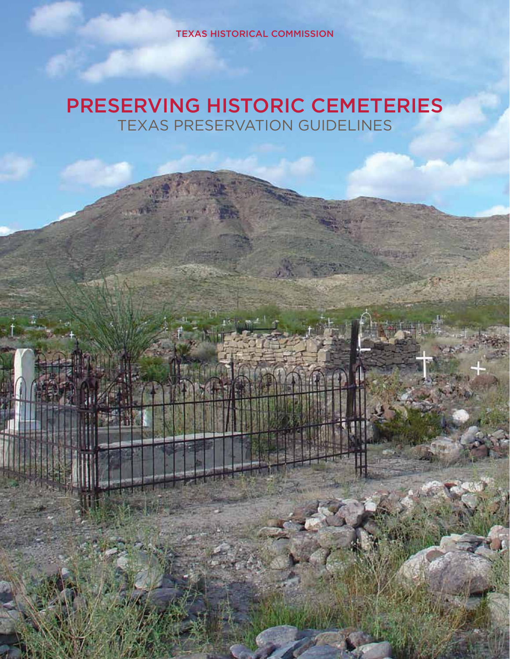TEXAS HISTORICAL COMMISSION

# PRESERVING HISTORIC CEMETERIES TEXAS PRESERVATION GUIDELINES

1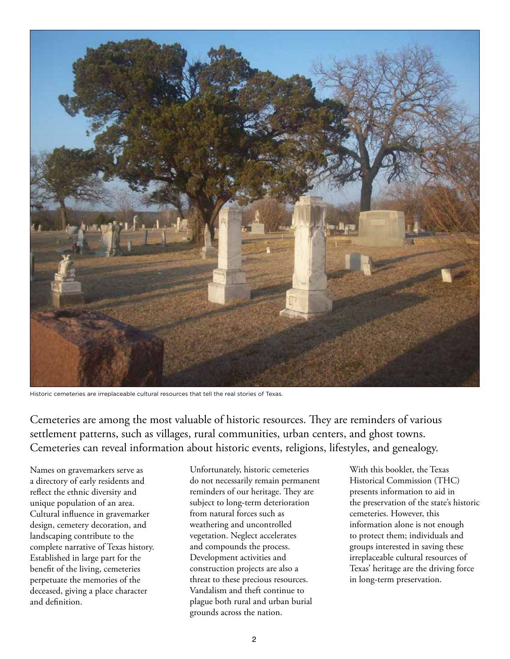

Historic cemeteries are irreplaceable cultural resources that tell the real stories of Texas.

Cemeteries are among the most valuable of historic resources. They are reminders of various settlement patterns, such as villages, rural communities, urban centers, and ghost towns. Cemeteries can reveal information about historic events, religions, lifestyles, and genealogy.

Names on gravemarkers serve as a directory of early residents and reflect the ethnic diversity and unique population of an area. Cultural influence in gravemarker design, cemetery decoration, and landscaping contribute to the complete narrative of Texas history. Established in large part for the benefit of the living, cemeteries perpetuate the memories of the deceased, giving a place character and definition.

Unfortunately, historic cemeteries do not necessarily remain permanent reminders of our heritage. They are subject to long-term deterioration from natural forces such as weathering and uncontrolled vegetation. Neglect accelerates and compounds the process. Development activities and construction projects are also a threat to these precious resources. Vandalism and theft continue to plague both rural and urban burial grounds across the nation.

With this booklet, the Texas Historical Commission (THC) presents information to aid in the preservation of the state's historic cemeteries. However, this information alone is not enough to protect them; individuals and groups interested in saving these irreplaceable cultural resources of Texas' heritage are the driving force in long-term preservation.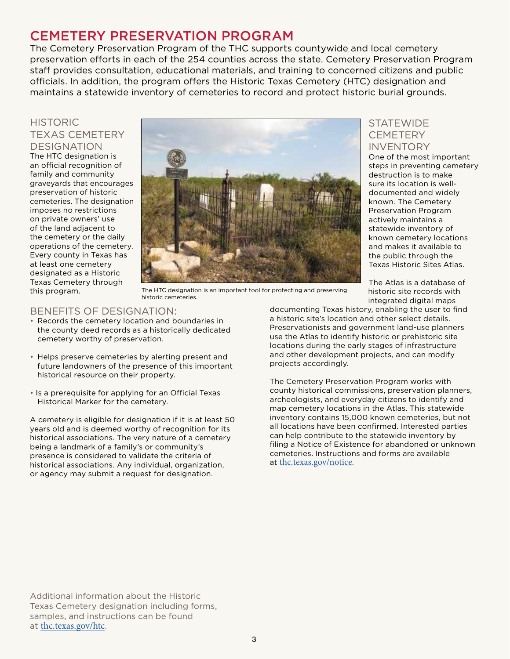### CEMETERY PRESERVATION PROGRAM

The Cemetery Preservation Program of the THC supports countywide and local cemetery preservation efforts in each of the 254 counties across the state. Cemetery Preservation Program staff provides consultation, educational materials, and training to concerned citizens and public officials. In addition, the program offers the Historic Texas Cemetery (HTC) designation and maintains a statewide inventory of cemeteries to record and protect historic burial grounds.

#### **HISTORIC** TEXAS CEMETERY DESIGNATION

The HTC designation is an official recognition of family and community graveyards that encourages preservation of historic cemeteries. The designation imposes no restrictions on private owners' use of the land adjacent to the cemetery or the daily operations of the cemetery. Every county in Texas has at least one cemetery designated as a Historic Texas Cemetery through this program.



**STATEWIDE CEMETERY** INVENTORY

One of the most important steps in preventing cemetery destruction is to make sure its location is welldocumented and widely known. The Cemetery Preservation Program actively maintains a statewide inventory of known cemetery locations and makes it available to the public through the Texas Historic Sites Atlas.

The Atlas is a database of historic site records with integrated digital maps

#### The HTC designation is an important tool for protecting and preserving historic cemeteries.

#### BENEFITS OF DESIGNATION:

- Records the cemetery location and boundaries in the county deed records as a historically dedicated cemetery worthy of preservation.
- Helps preserve cemeteries by alerting present and future landowners of the presence of this important historical resource on their property.
- Is a prerequisite for applying for an Official Texas Historical Marker for the cemetery.

A cemetery is eligible for designation if it is at least 50 years old and is deemed worthy of recognition for its historical associations. The very nature of a cemetery being a landmark of a family's or community's presence is considered to validate the criteria of historical associations. Any individual, organization, or agency may submit a request for designation.

documenting Texas history, enabling the user to find a historic site's location and other select details. Preservationists and government land-use planners use the Atlas to identify historic or prehistoric site locations during the early stages of infrastructure and other development projects, and can modify projects accordingly.

The Cemetery Preservation Program works with county historical commissions, preservation planners, archeologists, and everyday citizens to identify and map cemetery locations in the Atlas. This statewide inventory contains 15,000 known cemeteries, but not all locations have been confirmed. Interested parties can help contribute to the statewide inventory by filing a Notice of Existence for abandoned or unknown cemeteries. Instructions and forms are available at thc.texas.gov/notice.

Additional information about the Historic Texas Cemetery designation including forms, samples, and instructions can be found at thc.texas.gov/htc.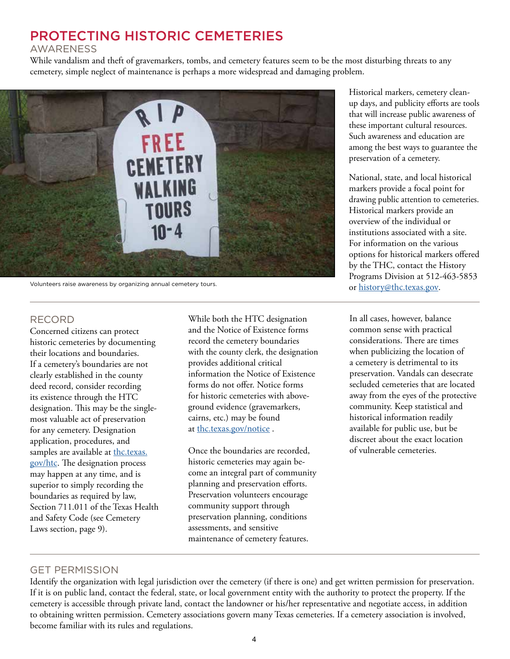## PROTECTING HISTORIC CEMETERIES

#### AWARENESS

While vandalism and theft of gravemarkers, tombs, and cemetery features seem to be the most disturbing threats to any cemetery, simple neglect of maintenance is perhaps a more widespread and damaging problem.



Volunteers raise awareness by organizing annual cemetery tours.

#### RECORD

Concerned citizens can protect historic cemeteries by documenting their locations and boundaries. If a cemetery's boundaries are not clearly established in the county deed record, consider recording its existence through the HTC designation. This may be the singlemost valuable act of preservation for any cemetery. Designation application, procedures, and samples are available at thc.texas. gov/htc. The designation process may happen at any time, and is superior to simply recording the boundaries as required by law, Section 711.011 of the Texas Health and Safety Code (see Cemetery Laws section, page 9).

While both the HTC designation and the Notice of Existence forms record the cemetery boundaries with the county clerk, the designation provides additional critical information the Notice of Existence forms do not offer. Notice forms for historic cemeteries with aboveground evidence (gravemarkers, cairns, etc.) may be found at thc.texas.gov/notice .

Once the boundaries are recorded, historic cemeteries may again become an integral part of community planning and preservation efforts. Preservation volunteers encourage community support through preservation planning, conditions assessments, and sensitive maintenance of cemetery features.

Historical markers, cemetery cleanup days, and publicity efforts are tools that will increase public awareness of these important cultural resources. Such awareness and education are among the best ways to guarantee the preservation of a cemetery.

National, state, and local historical markers provide a focal point for drawing public attention to cemeteries. Historical markers provide an overview of the individual or institutions associated with a site. For information on the various options for historical markers offered by the THC, contact the History Programs Division at 512-463-5853 or history@thc.texas.gov.

In all cases, however, balance common sense with practical considerations. There are times when publicizing the location of a cemetery is detrimental to its preservation. Vandals can desecrate secluded cemeteries that are located away from the eyes of the protective community. Keep statistical and historical information readily available for public use, but be discreet about the exact location of vulnerable cemeteries.

#### GET PERMISSION

Identify the organization with legal jurisdiction over the cemetery (if there is one) and get written permission for preservation. If it is on public land, contact the federal, state, or local government entity with the authority to protect the property. If the cemetery is accessible through private land, contact the landowner or his/her representative and negotiate access, in addition to obtaining written permission. Cemetery associations govern many Texas cemeteries. If a cemetery association is involved, become familiar with its rules and regulations.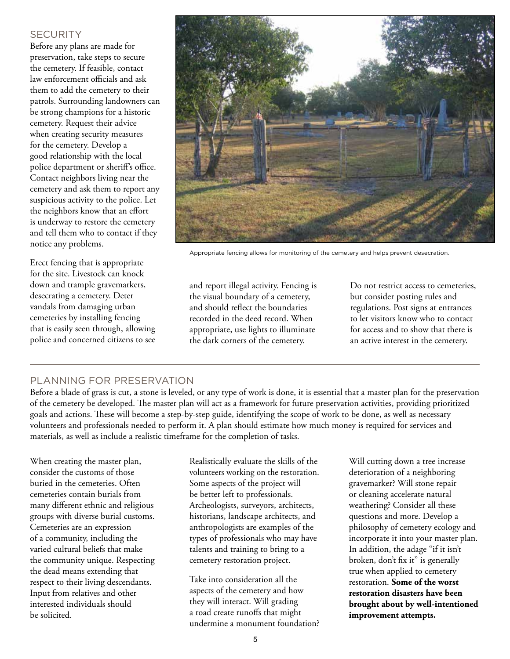#### **SECURITY**

Before any plans are made for preservation, take steps to secure the cemetery. If feasible, contact law enforcement officials and ask them to add the cemetery to their patrols. Surrounding landowners can be strong champions for a historic cemetery. Request their advice when creating security measures for the cemetery. Develop a good relationship with the local police department or sheriff's office. Contact neighbors living near the cemetery and ask them to report any suspicious activity to the police. Let the neighbors know that an effort is underway to restore the cemetery and tell them who to contact if they notice any problems.

Erect fencing that is appropriate for the site. Livestock can knock down and trample gravemarkers, desecrating a cemetery. Deter vandals from damaging urban cemeteries by installing fencing that is easily seen through, allowing police and concerned citizens to see



Appropriate fencing allows for monitoring of the cemetery and helps prevent desecration.

and report illegal activity. Fencing is the visual boundary of a cemetery, and should reflect the boundaries recorded in the deed record. When appropriate, use lights to illuminate the dark corners of the cemetery.

Do not restrict access to cemeteries, but consider posting rules and regulations. Post signs at entrances to let visitors know who to contact for access and to show that there is an active interest in the cemetery.

#### PLANNING FOR PRESERVATION

Before a blade of grass is cut, a stone is leveled, or any type of work is done, it is essential that a master plan for the preservation of the cemetery be developed. The master plan will act as a framework for future preservation activities, providing prioritized goals and actions. These will become a step-by-step guide, identifying the scope of work to be done, as well as necessary volunteers and professionals needed to perform it. A plan should estimate how much money is required for services and materials, as well as include a realistic timeframe for the completion of tasks.

When creating the master plan, consider the customs of those buried in the cemeteries. Often cemeteries contain burials from many different ethnic and religious groups with diverse burial customs. Cemeteries are an expression of a community, including the varied cultural beliefs that make the community unique. Respecting the dead means extending that respect to their living descendants. Input from relatives and other interested individuals should be solicited.

Realistically evaluate the skills of the volunteers working on the restoration. Some aspects of the project will be better left to professionals. Archeologists, surveyors, architects, historians, landscape architects, and anthropologists are examples of the types of professionals who may have talents and training to bring to a cemetery restoration project.

Take into consideration all the aspects of the cemetery and how they will interact. Will grading a road create runoffs that might undermine a monument foundation?

Will cutting down a tree increase deterioration of a neighboring gravemarker? Will stone repair or cleaning accelerate natural weathering? Consider all these questions and more. Develop a philosophy of cemetery ecology and incorporate it into your master plan. In addition, the adage "if it isn't broken, don't fix it" is generally true when applied to cemetery restoration. **Some of the worst restoration disasters have been brought about by well-intentioned improvement attempts.**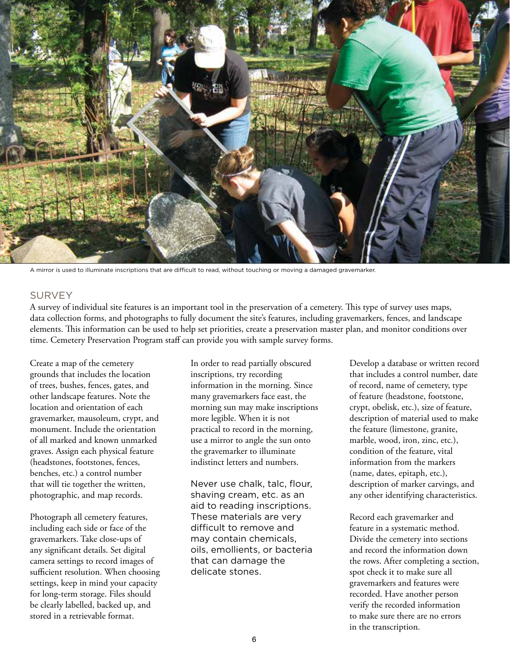

A mirror is used to illuminate inscriptions that are difficult to read, without touching or moving a damaged gravemarker.

#### SURVEY

A survey of individual site features is an important tool in the preservation of a cemetery. This type of survey uses maps, data collection forms, and photographs to fully document the site's features, including gravemarkers, fences, and landscape elements. This information can be used to help set priorities, create a preservation master plan, and monitor conditions over time. Cemetery Preservation Program staff can provide you with sample survey forms.

Create a map of the cemetery grounds that includes the location of trees, bushes, fences, gates, and other landscape features. Note the location and orientation of each gravemarker, mausoleum, crypt, and monument. Include the orientation of all marked and known unmarked graves. Assign each physical feature (headstones, footstones, fences, benches, etc.) a control number that will tie together the written, photographic, and map records.

Photograph all cemetery features, including each side or face of the gravemarkers. Take close-ups of any significant details. Set digital camera settings to record images of sufficient resolution. When choosing settings, keep in mind your capacity for long-term storage. Files should be clearly labelled, backed up, and stored in a retrievable format.

In order to read partially obscured inscriptions, try recording information in the morning. Since many gravemarkers face east, the morning sun may make inscriptions more legible. When it is not practical to record in the morning, use a mirror to angle the sun onto the gravemarker to illuminate indistinct letters and numbers.

Never use chalk, talc, flour, shaving cream, etc. as an aid to reading inscriptions. These materials are very difficult to remove and may contain chemicals, oils, emollients, or bacteria that can damage the delicate stones.

Develop a database or written record that includes a control number, date of record, name of cemetery, type of feature (headstone, footstone, crypt, obelisk, etc.), size of feature, description of material used to make the feature (limestone, granite, marble, wood, iron, zinc, etc.), condition of the feature, vital information from the markers (name, dates, epitaph, etc.), description of marker carvings, and any other identifying characteristics.

Record each gravemarker and feature in a systematic method. Divide the cemetery into sections and record the information down the rows. After completing a section, spot check it to make sure all gravemarkers and features were recorded. Have another person verify the recorded information to make sure there are no errors in the transcription.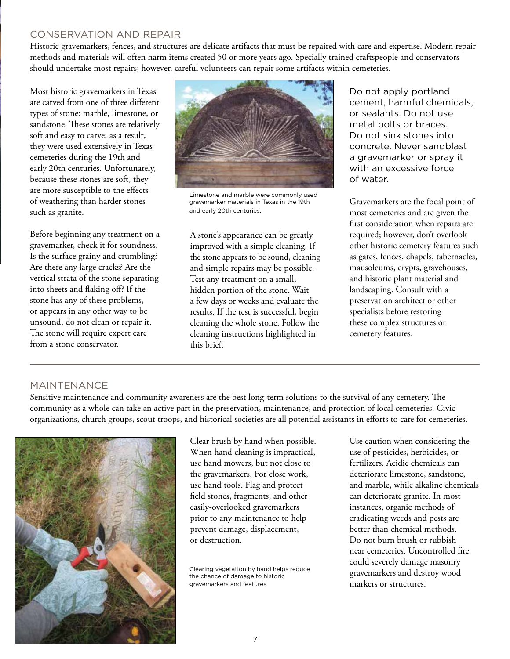#### CONSERVATION AND REPAIR

Historic gravemarkers, fences, and structures are delicate artifacts that must be repaired with care and expertise. Modern repair methods and materials will often harm items created 50 or more years ago. Specially trained craftspeople and conservators should undertake most repairs; however, careful volunteers can repair some artifacts within cemeteries.

Most historic gravemarkers in Texas are carved from one of three different types of stone: marble, limestone, or sandstone. These stones are relatively soft and easy to carve; as a result, they were used extensively in Texas cemeteries during the 19th and early 20th centuries. Unfortunately, because these stones are soft, they are more susceptible to the effects of weathering than harder stones such as granite.

Before beginning any treatment on a gravemarker, check it for soundness. Is the surface grainy and crumbling? Are there any large cracks? Are the vertical strata of the stone separating into sheets and flaking off? If the stone has any of these problems, or appears in any other way to be unsound, do not clean or repair it. The stone will require expert care from a stone conservator.



Limestone and marble were commonly used gravemarker materials in Texas in the 19th and early 20th centuries.

A stone's appearance can be greatly improved with a simple cleaning. If the stone appears to be sound, cleaning and simple repairs may be possible. Test any treatment on a small, hidden portion of the stone. Wait a few days or weeks and evaluate the results. If the test is successful, begin cleaning the whole stone. Follow the cleaning instructions highlighted in this brief.

Do not apply portland cement, harmful chemicals, or sealants. Do not use metal bolts or braces. Do not sink stones into concrete. Never sandblast a gravemarker or spray it with an excessive force of water.

Gravemarkers are the focal point of most cemeteries and are given the first consideration when repairs are required; however, don't overlook other historic cemetery features such as gates, fences, chapels, tabernacles, mausoleums, crypts, gravehouses, and historic plant material and landscaping. Consult with a preservation architect or other specialists before restoring these complex structures or cemetery features.

#### MAINTENANCE

Sensitive maintenance and community awareness are the best long-term solutions to the survival of any cemetery. The community as a whole can take an active part in the preservation, maintenance, and protection of local cemeteries. Civic organizations, church groups, scout troops, and historical societies are all potential assistants in efforts to care for cemeteries.



Clear brush by hand when possible. When hand cleaning is impractical, use hand mowers, but not close to the gravemarkers. For close work, use hand tools. Flag and protect field stones, fragments, and other easily-overlooked gravemarkers prior to any maintenance to help prevent damage, displacement, or destruction.

Clearing vegetation by hand helps reduce the chance of damage to historic gravemarkers and features.

Use caution when considering the use of pesticides, herbicides, or fertilizers. Acidic chemicals can deteriorate limestone, sandstone, and marble, while alkaline chemicals can deteriorate granite. In most instances, organic methods of eradicating weeds and pests are better than chemical methods. Do not burn brush or rubbish near cemeteries. Uncontrolled fire could severely damage masonry gravemarkers and destroy wood markers or structures.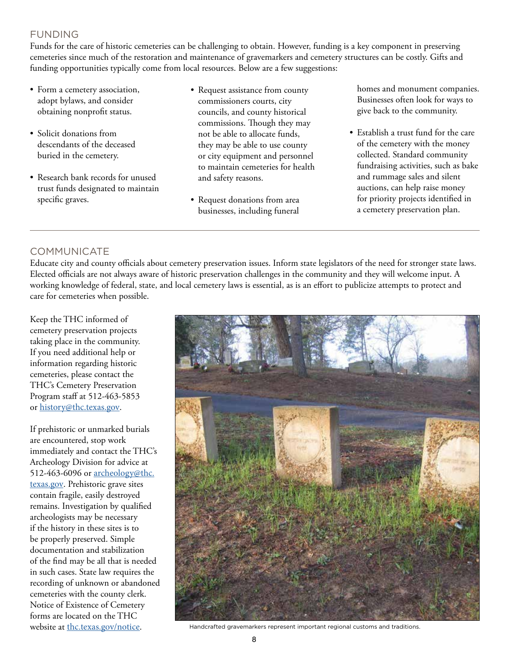### FUNDING

Funds for the care of historic cemeteries can be challenging to obtain. However, funding is a key component in preserving cemeteries since much of the restoration and maintenance of gravemarkers and cemetery structures can be costly. Gifts and funding opportunities typically come from local resources. Below are a few suggestions:

- Form a cemetery association, adopt bylaws, and consider obtaining nonprofit status.
- Solicit donations from descendants of the deceased buried in the cemetery.
- Research bank records for unused trust funds designated to maintain specific graves.
- Request assistance from county commissioners courts, city councils, and county historical commissions. Though they may not be able to allocate funds, they may be able to use county or city equipment and personnel to maintain cemeteries for health and safety reasons.
- Request donations from area businesses, including funeral

homes and monument companies. Businesses often look for ways to give back to the community.

• Establish a trust fund for the care of the cemetery with the money collected. Standard community fundraising activities, such as bake and rummage sales and silent auctions, can help raise money for priority projects identified in a cemetery preservation plan.

### COMMUNICATE

Educate city and county officials about cemetery preservation issues. Inform state legislators of the need for stronger state laws. Elected officials are not always aware of historic preservation challenges in the community and they will welcome input. A working knowledge of federal, state, and local cemetery laws is essential, as is an effort to publicize attempts to protect and care for cemeteries when possible.

Keep the THC informed of cemetery preservation projects taking place in the community. If you need additional help or information regarding historic cemeteries, please contact the THC's Cemetery Preservation Program staff at 512-463-5853 or history@thc.texas.gov.

If prehistoric or unmarked burials are encountered, stop work immediately and contact the THC's Archeology Division for advice at 512-463-6096 or archeology@thc. texas.gov. Prehistoric grave sites contain fragile, easily destroyed remains. Investigation by qualified archeologists may be necessary if the history in these sites is to be properly preserved. Simple documentation and stabilization of the find may be all that is needed in such cases. State law requires the recording of unknown or abandoned cemeteries with the county clerk. Notice of Existence of Cemetery forms are located on the THC



website at thc.texas.gov/notice. Handcrafted gravemarkers represent important regional customs and traditions.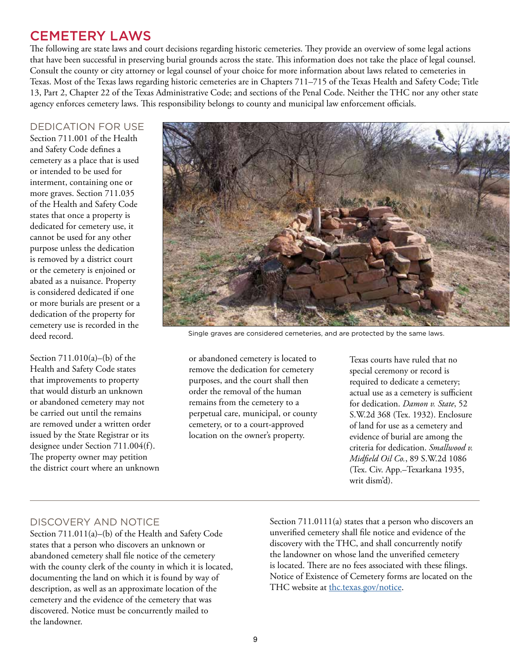## CEMETERY LAWS

The following are state laws and court decisions regarding historic cemeteries. They provide an overview of some legal actions that have been successful in preserving burial grounds across the state. This information does not take the place of legal counsel. Consult the county or city attorney or legal counsel of your choice for more information about laws related to cemeteries in Texas. Most of the Texas laws regarding historic cemeteries are in Chapters 711–715 of the Texas Health and Safety Code; Title 13, Part 2, Chapter 22 of the Texas Administrative Code; and sections of the Penal Code. Neither the THC nor any other state agency enforces cemetery laws. This responsibility belongs to county and municipal law enforcement officials.

#### DEDICATION FOR USE

Section 711.001 of the Health and Safety Code defines a cemetery as a place that is used or intended to be used for interment, containing one or more graves. Section 711.035 of the Health and Safety Code states that once a property is dedicated for cemetery use, it cannot be used for any other purpose unless the dedication is removed by a district court or the cemetery is enjoined or abated as a nuisance. Property is considered dedicated if one or more burials are present or a dedication of the property for cemetery use is recorded in the deed record.

Section 711.010(a)–(b) of the Health and Safety Code states that improvements to property that would disturb an unknown or abandoned cemetery may not be carried out until the remains are removed under a written order issued by the State Registrar or its designee under Section 711.004(f). The property owner may petition the district court where an unknown



Single graves are considered cemeteries, and are protected by the same laws.

or abandoned cemetery is located to remove the dedication for cemetery purposes, and the court shall then order the removal of the human remains from the cemetery to a perpetual care, municipal, or county cemetery, or to a court-approved location on the owner's property.

Texas courts have ruled that no special ceremony or record is required to dedicate a cemetery; actual use as a cemetery is sufficient for dedication. *Damon v. State*, 52 S.W.2d 368 (Tex. 1932). Enclosure of land for use as a cemetery and evidence of burial are among the criteria for dedication. *Smallwood v. Midfield Oil Co.*, 89 S.W.2d 1086 (Tex. Civ. App.–Texarkana 1935, writ dism'd).

### DISCOVERY AND NOTICE

Section 711.011(a)–(b) of the Health and Safety Code states that a person who discovers an unknown or abandoned cemetery shall file notice of the cemetery with the county clerk of the county in which it is located, documenting the land on which it is found by way of description, as well as an approximate location of the cemetery and the evidence of the cemetery that was discovered. Notice must be concurrently mailed to the landowner.

Section 711.0111(a) states that a person who discovers an unverified cemetery shall file notice and evidence of the discovery with the THC, and shall concurrently notify the landowner on whose land the unverified cemetery is located. There are no fees associated with these filings. Notice of Existence of Cemetery forms are located on the THC website at thc.texas.gov/notice.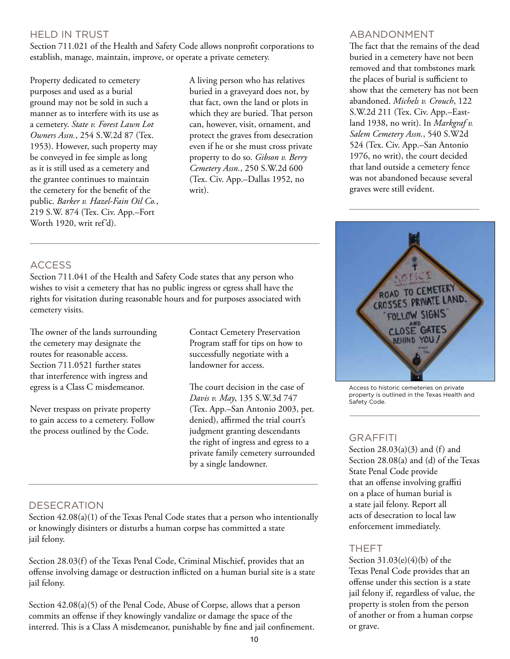### HELD IN TRUST

Section 711.021 of the Health and Safety Code allows nonprofit corporations to establish, manage, maintain, improve, or operate a private cemetery.

Property dedicated to cemetery purposes and used as a burial ground may not be sold in such a manner as to interfere with its use as a cemetery. *State v. Forest Lawn Lot Owners Assn.*, 254 S.W.2d 87 (Tex. 1953). However, such property may be conveyed in fee simple as long as it is still used as a cemetery and the grantee continues to maintain the cemetery for the benefit of the public. *Barker v. Hazel-Fain Oil Co.*, 219 S.W. 874 (Tex. Civ. App.–Fort Worth 1920, writ ref'd).

A living person who has relatives buried in a graveyard does not, by that fact, own the land or plots in which they are buried. That person can, however, visit, ornament, and protect the graves from desecration even if he or she must cross private property to do so. *Gibson v. Berry Cemetery Assn.*, 250 S.W.2d 600 (Tex. Civ. App.–Dallas 1952, no writ).

#### ABANDONMENT

The fact that the remains of the dead buried in a cemetery have not been removed and that tombstones mark the places of burial is sufficient to show that the cemetery has not been abandoned. *Michels v. Crouch*, 122 S.W.2d 211 (Tex. Civ. App.–Eastland 1938, no writ). In *Markgraf v. Salem Cemetery Assn.*, 540 S.W2d 524 (Tex. Civ. App.–San Antonio 1976, no writ), the court decided that land outside a cemetery fence was not abandoned because several graves were still evident.



Access to historic cemeteries on private property is outlined in the Texas Health and Safety Code.

#### GRAFFITI

Section  $28.03(a)(3)$  and (f) and Section 28.08(a) and (d) of the Texas State Penal Code provide that an offense involving graffiti on a place of human burial is a state jail felony. Report all acts of desecration to local law enforcement immediately.

#### THEFT

Section  $31.03(e)(4)(b)$  of the Texas Penal Code provides that an offense under this section is a state jail felony if, regardless of value, the property is stolen from the person of another or from a human corpse or grave.

#### **ACCESS**

Section 711.041 of the Health and Safety Code states that any person who wishes to visit a cemetery that has no public ingress or egress shall have the rights for visitation during reasonable hours and for purposes associated with cemetery visits.

The owner of the lands surrounding the cemetery may designate the routes for reasonable access. Section 711.0521 further states that interference with ingress and egress is a Class C misdemeanor.

Never trespass on private property to gain access to a cemetery. Follow the process outlined by the Code.

Contact Cemetery Preservation Program staff for tips on how to successfully negotiate with a landowner for access.

The court decision in the case of *Davis v. May*, 135 S.W.3d 747 (Tex. App.–San Antonio 2003, pet. denied), affirmed the trial court's judgment granting descendants the right of ingress and egress to a private family cemetery surrounded by a single landowner.

#### **DESECRATION**

Section 42.08(a)(1) of the Texas Penal Code states that a person who intentionally or knowingly disinters or disturbs a human corpse has committed a state jail felony.

Section 28.03(f) of the Texas Penal Code, Criminal Mischief, provides that an offense involving damage or destruction inflicted on a human burial site is a state jail felony.

Section 42.08(a)(5) of the Penal Code, Abuse of Corpse, allows that a person commits an offense if they knowingly vandalize or damage the space of the interred. This is a Class A misdemeanor, punishable by fine and jail confinement.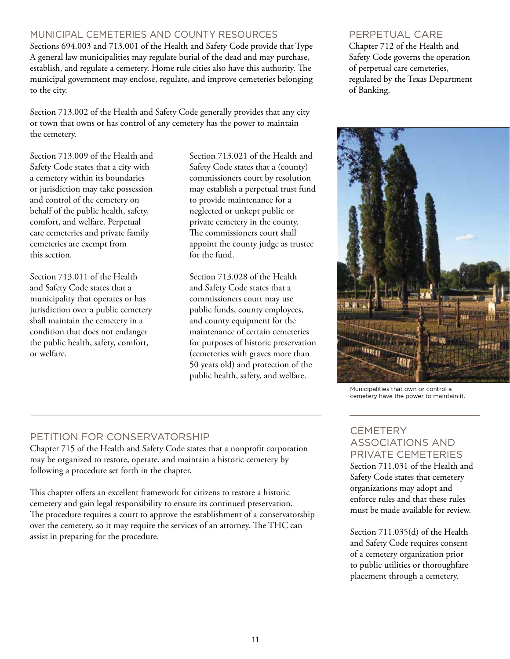### MUNICIPAL CEMETERIES AND COUNTY RESOURCES

Sections 694.003 and 713.001 of the Health and Safety Code provide that Type A general law municipalities may regulate burial of the dead and may purchase, establish, and regulate a cemetery. Home rule cities also have this authority. The municipal government may enclose, regulate, and improve cemeteries belonging to the city.

Section 713.002 of the Health and Safety Code generally provides that any city or town that owns or has control of any cemetery has the power to maintain the cemetery.

Section 713.009 of the Health and Safety Code states that a city with a cemetery within its boundaries or jurisdiction may take possession and control of the cemetery on behalf of the public health, safety, comfort, and welfare. Perpetual care cemeteries and private family cemeteries are exempt from this section.

Section 713.011 of the Health and Safety Code states that a municipality that operates or has jurisdiction over a public cemetery shall maintain the cemetery in a condition that does not endanger the public health, safety, comfort, or welfare.

Section 713.021 of the Health and Safety Code states that a (county) commissioners court by resolution may establish a perpetual trust fund to provide maintenance for a neglected or unkept public or private cemetery in the county. The commissioners court shall appoint the county judge as trustee for the fund.

Section 713.028 of the Health and Safety Code states that a commissioners court may use public funds, county employees, and county equipment for the maintenance of certain cemeteries for purposes of historic preservation (cemeteries with graves more than 50 years old) and protection of the public health, safety, and welfare.

#### PERPETUAL CARE

Chapter 712 of the Health and Safety Code governs the operation of perpetual care cemeteries, regulated by the Texas Department of Banking.



Municipalities that own or control a cemetery have the power to maintain it.

### PETITION FOR CONSERVATORSHIP

Chapter 715 of the Health and Safety Code states that a nonprofit corporation may be organized to restore, operate, and maintain a historic cemetery by following a procedure set forth in the chapter.

This chapter offers an excellent framework for citizens to restore a historic cemetery and gain legal responsibility to ensure its continued preservation. The procedure requires a court to approve the establishment of a conservatorship over the cemetery, so it may require the services of an attorney. The THC can assist in preparing for the procedure.

#### **CEMETERY** ASSOCIATIONS AND PRIVATE CEMETERIES Section 711.031 of the Health and Safety Code states that cemetery organizations may adopt and enforce rules and that these rules must be made available for review.

Section 711.035(d) of the Health and Safety Code requires consent of a cemetery organization prior to public utilities or thoroughfare placement through a cemetery.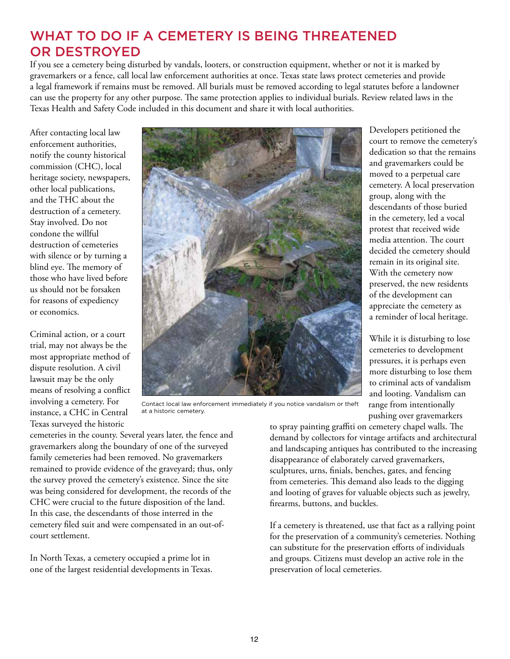## WHAT TO DO IF A CEMETERY IS BEING THREATENED OR DESTROYED

If you see a cemetery being disturbed by vandals, looters, or construction equipment, whether or not it is marked by gravemarkers or a fence, call local law enforcement authorities at once. Texas state laws protect cemeteries and provide a legal framework if remains must be removed. All burials must be removed according to legal statutes before a landowner can use the property for any other purpose. The same protection applies to individual burials. Review related laws in the Texas Health and Safety Code included in this document and share it with local authorities.

After contacting local law enforcement authorities, notify the county historical commission (CHC), local heritage society, newspapers, other local publications, and the THC about the destruction of a cemetery. Stay involved. Do not condone the willful destruction of cemeteries with silence or by turning a blind eye. The memory of those who have lived before us should not be forsaken for reasons of expediency or economics.

Criminal action, or a court trial, may not always be the most appropriate method of dispute resolution. A civil lawsuit may be the only means of resolving a conflict involving a cemetery. For instance, a CHC in Central Texas surveyed the historic



Contact local law enforcement immediately if you notice vandalism or theft at a historic cemetery.

cemeteries in the county. Several years later, the fence and gravemarkers along the boundary of one of the surveyed family cemeteries had been removed. No gravemarkers remained to provide evidence of the graveyard; thus, only the survey proved the cemetery's existence. Since the site was being considered for development, the records of the CHC were crucial to the future disposition of the land. In this case, the descendants of those interred in the cemetery filed suit and were compensated in an out-ofcourt settlement.

In North Texas, a cemetery occupied a prime lot in one of the largest residential developments in Texas. to spray painting graffiti on cemetery chapel walls. The demand by collectors for vintage artifacts and architectural and landscaping antiques has contributed to the increasing disappearance of elaborately carved gravemarkers, sculptures, urns, finials, benches, gates, and fencing from cemeteries. This demand also leads to the digging and looting of graves for valuable objects such as jewelry, firearms, buttons, and buckles.

If a cemetery is threatened, use that fact as a rallying point for the preservation of a community's cemeteries. Nothing can substitute for the preservation efforts of individuals and groups. Citizens must develop an active role in the preservation of local cemeteries.

Developers petitioned the court to remove the cemetery's dedication so that the remains and gravemarkers could be moved to a perpetual care cemetery. A local preservation group, along with the descendants of those buried in the cemetery, led a vocal protest that received wide media attention. The court decided the cemetery should remain in its original site. With the cemetery now preserved, the new residents of the development can appreciate the cemetery as a reminder of local heritage.

While it is disturbing to lose cemeteries to development pressures, it is perhaps even more disturbing to lose them to criminal acts of vandalism and looting. Vandalism can range from intentionally pushing over gravemarkers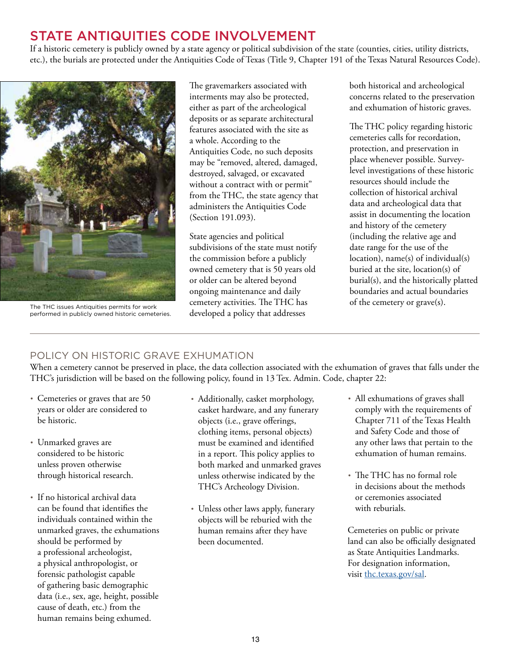## STATE ANTIQUITIES CODE INVOLVEMENT

If a historic cemetery is publicly owned by a state agency or political subdivision of the state (counties, cities, utility districts, etc.), the burials are protected under the Antiquities Code of Texas (Title 9, Chapter 191 of the Texas Natural Resources Code).



The THC issues Antiquities permits for work performed in publicly owned historic cemeteries.

The gravemarkers associated with interments may also be protected, either as part of the archeological deposits or as separate architectural features associated with the site as a whole. According to the Antiquities Code, no such deposits may be "removed, altered, damaged, destroyed, salvaged, or excavated without a contract with or permit" from the THC, the state agency that administers the Antiquities Code (Section 191.093).

State agencies and political subdivisions of the state must notify the commission before a publicly owned cemetery that is 50 years old or older can be altered beyond ongoing maintenance and daily cemetery activities. The THC has developed a policy that addresses

both historical and archeological concerns related to the preservation and exhumation of historic graves.

The THC policy regarding historic cemeteries calls for recordation, protection, and preservation in place whenever possible. Surveylevel investigations of these historic resources should include the collection of historical archival data and archeological data that assist in documenting the location and history of the cemetery (including the relative age and date range for the use of the location), name(s) of individual(s) buried at the site, location(s) of burial(s), and the historically platted boundaries and actual boundaries of the cemetery or grave(s).

### POLICY ON HISTORIC GRAVE EXHUMATION

When a cemetery cannot be preserved in place, the data collection associated with the exhumation of graves that falls under the THC's jurisdiction will be based on the following policy, found in 13 Tex. Admin. Code, chapter 22:

- Cemeteries or graves that are 50 years or older are considered to be historic.
- Unmarked graves are considered to be historic unless proven otherwise through historical research.
- If no historical archival data can be found that identifies the individuals contained within the unmarked graves, the exhumations should be performed by a professional archeologist, a physical anthropologist, or forensic pathologist capable of gathering basic demographic data (i.e., sex, age, height, possible cause of death, etc.) from the human remains being exhumed.
- Additionally, casket morphology, casket hardware, and any funerary objects (i.e., grave offerings, clothing items, personal objects) must be examined and identified in a report. This policy applies to both marked and unmarked graves unless otherwise indicated by the THC's Archeology Division.
- Unless other laws apply, funerary objects will be reburied with the human remains after they have been documented.
- All exhumations of graves shall comply with the requirements of Chapter 711 of the Texas Health and Safety Code and those of any other laws that pertain to the exhumation of human remains.
- The THC has no formal role in decisions about the methods or ceremonies associated with reburials.

Cemeteries on public or private land can also be officially designated as State Antiquities Landmarks. For designation information, visit thc.texas.gov/sal.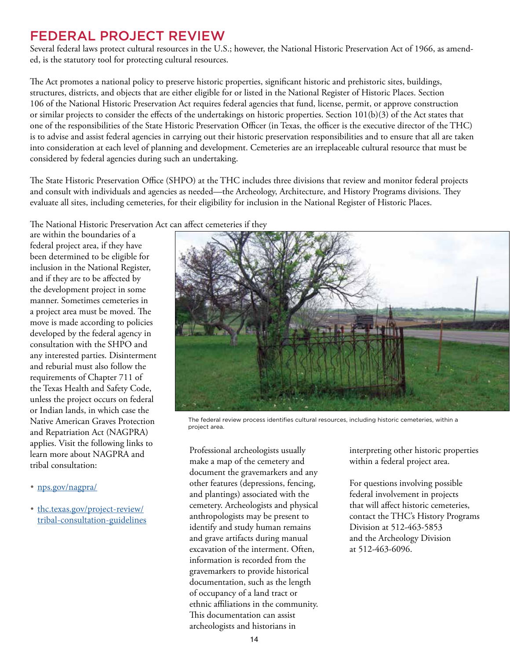### FEDERAL PROJECT REVIEW

Several federal laws protect cultural resources in the U.S.; however, the National Historic Preservation Act of 1966, as amended, is the statutory tool for protecting cultural resources.

The Act promotes a national policy to preserve historic properties, significant historic and prehistoric sites, buildings, structures, districts, and objects that are either eligible for or listed in the National Register of Historic Places. Section 106 of the National Historic Preservation Act requires federal agencies that fund, license, permit, or approve construction or similar projects to consider the effects of the undertakings on historic properties. Section  $101(b)(3)$  of the Act states that one of the responsibilities of the State Historic Preservation Officer (in Texas, the officer is the executive director of the THC) is to advise and assist federal agencies in carrying out their historic preservation responsibilities and to ensure that all are taken into consideration at each level of planning and development. Cemeteries are an irreplaceable cultural resource that must be considered by federal agencies during such an undertaking.

The State Historic Preservation Office (SHPO) at the THC includes three divisions that review and monitor federal projects and consult with individuals and agencies as needed—the Archeology, Architecture, and History Programs divisions. They evaluate all sites, including cemeteries, for their eligibility for inclusion in the National Register of Historic Places.

The National Historic Preservation Act can affect cemeteries if they

are within the boundaries of a federal project area, if they have been determined to be eligible for inclusion in the National Register, and if they are to be affected by the development project in some manner. Sometimes cemeteries in a project area must be moved. The move is made according to policies developed by the federal agency in consultation with the SHPO and any interested parties. Disinterment and reburial must also follow the requirements of Chapter 711 of the Texas Health and Safety Code, unless the project occurs on federal or Indian lands, in which case the Native American Graves Protection and Repatriation Act (NAGPRA) applies. Visit the following links to learn more about NAGPRA and tribal consultation:

- nps.gov/nagpra/
- thc.texas.gov/project-review/ tribal-consultation-guidelines



The federal review process identifies cultural resources, including historic cemeteries, within a project area.

Professional archeologists usually make a map of the cemetery and document the gravemarkers and any other features (depressions, fencing, and plantings) associated with the cemetery. Archeologists and physical anthropologists may be present to identify and study human remains and grave artifacts during manual excavation of the interment. Often, information is recorded from the gravemarkers to provide historical documentation, such as the length of occupancy of a land tract or ethnic affiliations in the community. This documentation can assist archeologists and historians in

interpreting other historic properties within a federal project area.

For questions involving possible federal involvement in projects that will affect historic cemeteries, contact the THC's History Programs Division at 512-463-5853 and the Archeology Division at 512-463-6096.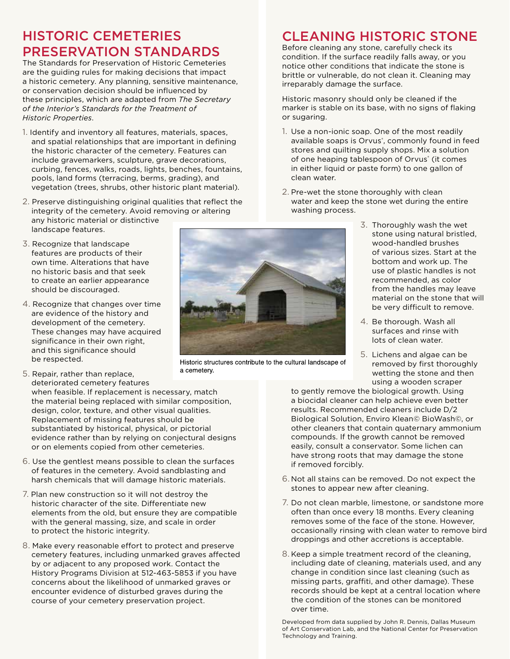## HISTORIC CEMETERIES PRESERVATION STANDARDS

The Standards for Preservation of Historic Cemeteries are the guiding rules for making decisions that impact a historic cemetery. Any planning, sensitive maintenance, or conservation decision should be influenced by these principles, which are adapted from *The Secretary of the Interior's Standards for the Treatment of Historic Properties*.

- 1. Identify and inventory all features, materials, spaces, and spatial relationships that are important in defining the historic character of the cemetery. Features can include gravemarkers, sculpture, grave decorations, curbing, fences, walks, roads, lights, benches, fountains, pools, land forms (terracing, berms, grading), and vegetation (trees, shrubs, other historic plant material).
- 2. Preserve distinguishing original qualities that reflect the integrity of the cemetery. Avoid removing or altering any historic material or distinctive landscape features.
- 3. Recognize that landscape features are products of their own time. Alterations that have no historic basis and that seek to create an earlier appearance should be discouraged.
- 4. Recognize that changes over time are evidence of the history and development of the cemetery. These changes may have acquired significance in their own right, and this significance should be respected.

5. Repair, rather than replace,

- deteriorated cemetery features when feasible. If replacement is necessary, match the material being replaced with similar composition, design, color, texture, and other visual qualities. Replacement of missing features should be substantiated by historical, physical, or pictorial evidence rather than by relying on conjectural designs or on elements copied from other cemeteries.
- 6. Use the gentlest means possible to clean the surfaces of features in the cemetery. Avoid sandblasting and harsh chemicals that will damage historic materials.
- 7. Plan new construction so it will not destroy the historic character of the site. Differentiate new elements from the old, but ensure they are compatible with the general massing, size, and scale in order to protect the historic integrity.
- 8. Make every reasonable effort to protect and preserve cemetery features, including unmarked graves affected by or adjacent to any proposed work. Contact the History Programs Division at 512-463-5853 if you have concerns about the likelihood of unmarked graves or encounter evidence of disturbed graves during the course of your cemetery preservation project.

## CLEANING HISTORIC STONE

Before cleaning any stone, carefully check its condition. If the surface readily falls away, or you notice other conditions that indicate the stone is brittle or vulnerable, do not clean it. Cleaning may irreparably damage the surface.

Historic masonry should only be cleaned if the marker is stable on its base, with no signs of flaking or sugaring.

- 1. Use a non-ionic soap. One of the most readily available soaps is Orvus<sup>\*</sup>, commonly found in feed stores and quilting supply shops. Mix a solution of one heaping tablespoon of Orvus<sup>®</sup> (it comes in either liquid or paste form) to one gallon of clean water.
- 2. Pre-wet the stone thoroughly with clean water and keep the stone wet during the entire washing process.
	- 3. Thoroughly wash the wet stone using natural bristled, wood-handled brushes of various sizes. Start at the bottom and work up. The use of plastic handles is not recommended, as color from the handles may leave material on the stone that will be very difficult to remove.
	- 4. Be thorough. Wash all surfaces and rinse with lots of clean water.
	- 5. Lichens and algae can be removed by first thoroughly wetting the stone and then using a wooden scraper

to gently remove the biological growth. Using a biocidal cleaner can help achieve even better results. Recommended cleaners include D/2 Biological Solution, Enviro Klean© BioWash©, or other cleaners that contain quaternary ammonium compounds. If the growth cannot be removed easily, consult a conservator. Some lichen can have strong roots that may damage the stone if removed forcibly.

- 6. Not all stains can be removed. Do not expect the stones to appear new after cleaning.
- 7. Do not clean marble, limestone, or sandstone more often than once every 18 months. Every cleaning removes some of the face of the stone. However, occasionally rinsing with clean water to remove bird droppings and other accretions is acceptable.
- 8. Keep a simple treatment record of the cleaning, including date of cleaning, materials used, and any change in condition since last cleaning (such as missing parts, graffiti, and other damage). These records should be kept at a central location where the condition of the stones can be monitored over time.

Developed from data supplied by John R. Dennis, Dallas Museum of Art Conservation Lab, and the National Center for Preservation Technology and Training.



Historic structures contribute to the cultural landscape of a cemetery.